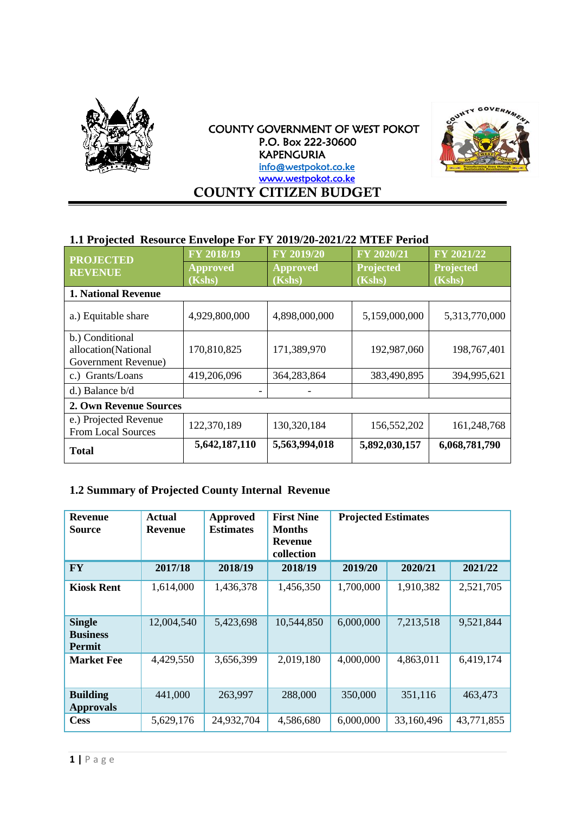

COUNTY GOVERNMENT OF WEST POKOT P.O. Box 222-30600 KAPENGURIA info@westpokot.co.ke [www.westpokot.co.ke](http://www.westpokot.co.ke/)  **COUNTY CITIZEN BUDGET**



#### **1.1 Projected Resource Envelope For FY 2019/20-2021/22 MTEF Period**

| <b>PROJECTED</b>                                              | FY 2018/19                | FY 2019/20                | FY 2020/21                 | FY 2021/22          |  |
|---------------------------------------------------------------|---------------------------|---------------------------|----------------------------|---------------------|--|
| <b>REVENUE</b>                                                | <b>Approved</b><br>(Kshs) | <b>Approved</b><br>(Kshs) | <b>Projected</b><br>(Kshs) | Projected<br>(Kshs) |  |
| <b>1. National Revenue</b>                                    |                           |                           |                            |                     |  |
| a.) Equitable share                                           | 4,929,800,000             | 4,898,000,000             | 5,159,000,000              | 5,313,770,000       |  |
| b.) Conditional<br>allocation(National<br>Government Revenue) | 170,810,825               | 171,389,970               | 192,987,060                | 198,767,401         |  |
| c.) Grants/Loans                                              | 419,206,096               | 364,283,864               | 383,490,895                | 394,995,621         |  |
| d.) Balance b/d                                               |                           |                           |                            |                     |  |
| <b>2. Own Revenue Sources</b>                                 |                           |                           |                            |                     |  |
| e.) Projected Revenue<br><b>From Local Sources</b>            | 122,370,189               | 130,320,184               | 156,552,202                | 161,248,768         |  |
| <b>Total</b>                                                  | 5,642,187,110             | 5,563,994,018             | 5,892,030,157              | 6,068,781,790       |  |

## **1.2 Summary of Projected County Internal Revenue**

| <b>Revenue</b><br><b>Source</b>                   | <b>Actual</b><br><b>Revenue</b> | Approved<br><b>Estimates</b> | <b>First Nine</b><br><b>Months</b><br>Revenue<br>collection | <b>Projected Estimates</b> |            |            |
|---------------------------------------------------|---------------------------------|------------------------------|-------------------------------------------------------------|----------------------------|------------|------------|
| <b>FY</b>                                         | 2017/18                         | 2018/19                      | 2018/19                                                     | 2019/20                    | 2020/21    | 2021/22    |
| <b>Kiosk Rent</b>                                 | 1,614,000                       | 1,436,378                    | 1,456,350                                                   | 1,700,000                  | 1,910,382  | 2,521,705  |
| <b>Single</b><br><b>Business</b><br><b>Permit</b> | 12,004,540                      | 5,423,698                    | 10,544,850                                                  | 6,000,000                  | 7,213,518  | 9,521,844  |
| <b>Market Fee</b>                                 | 4,429,550                       | 3,656,399                    | 2,019,180                                                   | 4,000,000                  | 4,863,011  | 6,419,174  |
| <b>Building</b><br><b>Approvals</b>               | 441,000                         | 263,997                      | 288,000                                                     | 350,000                    | 351,116    | 463,473    |
| <b>Cess</b>                                       | 5,629,176                       | 24,932,704                   | 4,586,680                                                   | 6,000,000                  | 33,160,496 | 43,771,855 |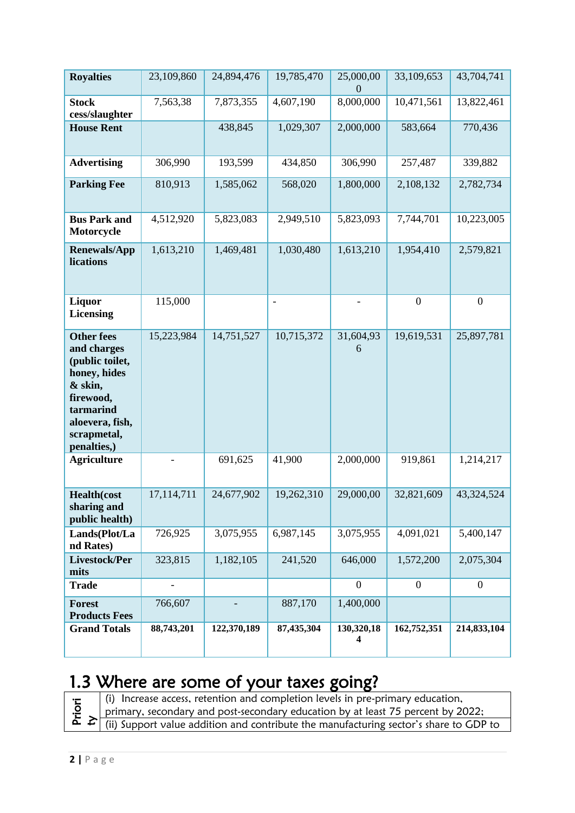| <b>Royalties</b>                                                                                                                                          | 23,109,860               | 24,894,476  | 19,785,470               | 25,000,00<br>$\overline{0}$ | 33,109,653       | 43,704,741       |
|-----------------------------------------------------------------------------------------------------------------------------------------------------------|--------------------------|-------------|--------------------------|-----------------------------|------------------|------------------|
| <b>Stock</b><br>cess/slaughter                                                                                                                            | 7,563,38                 | 7,873,355   | 4,607,190                | 8,000,000                   | 10,471,561       | 13,822,461       |
| <b>House Rent</b>                                                                                                                                         |                          | 438,845     | 1,029,307                | 2,000,000                   | 583,664          | 770,436          |
| <b>Advertising</b>                                                                                                                                        | 306,990                  | 193,599     | 434,850                  | 306,990                     | 257,487          | 339,882          |
| <b>Parking Fee</b>                                                                                                                                        | 810,913                  | 1,585,062   | 568,020                  | 1,800,000                   | 2,108,132        | 2,782,734        |
| <b>Bus Park and</b><br>Motorcycle                                                                                                                         | 4,512,920                | 5,823,083   | 2,949,510                | 5,823,093                   | 7,744,701        | 10,223,005       |
| <b>Renewals/App</b><br>lications                                                                                                                          | 1,613,210                | 1,469,481   | 1,030,480                | 1,613,210                   | 1,954,410        | 2,579,821        |
| <b>Liquor</b><br><b>Licensing</b>                                                                                                                         | 115,000                  |             | $\overline{\phantom{0}}$ |                             | $\boldsymbol{0}$ | $\boldsymbol{0}$ |
| <b>Other fees</b><br>and charges<br>(public toilet,<br>honey, hides<br>& skin,<br>firewood,<br>tarmarind<br>aloevera, fish,<br>scrapmetal,<br>penalties,) | 15,223,984               | 14,751,527  | 10,715,372               | 31,604,93<br>6              | 19,619,531       | 25,897,781       |
| <b>Agriculture</b>                                                                                                                                        |                          | 691,625     | 41,900                   | 2,000,000                   | 919,861          | 1,214,217        |
| Health(cost<br>sharing and<br>public health)                                                                                                              | 17,114,711               | 24,677,902  | 19,262,310               | 29,000,00                   | 32,821,609       | 43,324,524       |
| Lands(Plot/La<br>nd Rates)                                                                                                                                | 726,925                  | 3,075,955   | 6,987,145                | 3,075,955                   | 4,091,021        | 5,400,147        |
| Livestock/Per<br>mits                                                                                                                                     | 323,815                  | 1,182,105   | 241,520                  | 646,000                     | 1,572,200        | 2,075,304        |
| <b>Trade</b>                                                                                                                                              | $\overline{\phantom{0}}$ |             |                          | $\boldsymbol{0}$            | $\boldsymbol{0}$ | $\overline{0}$   |
| <b>Forest</b><br><b>Products Fees</b>                                                                                                                     | 766,607                  |             | 887,170                  | 1,400,000                   |                  |                  |
| <b>Grand Totals</b>                                                                                                                                       | 88,743,201               | 122,370,189 | 87,435,304               | 130,320,18<br>4             | 162,752,351      | 214,833,104      |

# 1.3 Where are some of your taxes going?

| Ē | (i) Increase access, retention and completion levels in pre-primary education,                                                                                                                         |
|---|--------------------------------------------------------------------------------------------------------------------------------------------------------------------------------------------------------|
|   |                                                                                                                                                                                                        |
|   | $\frac{10}{2}$ primary, secondary and post-secondary education by at least 75 percent by 2022;<br>$\frac{10}{2}$ (ii) Support value addition and contribute the manufacturing sector's share to GDP to |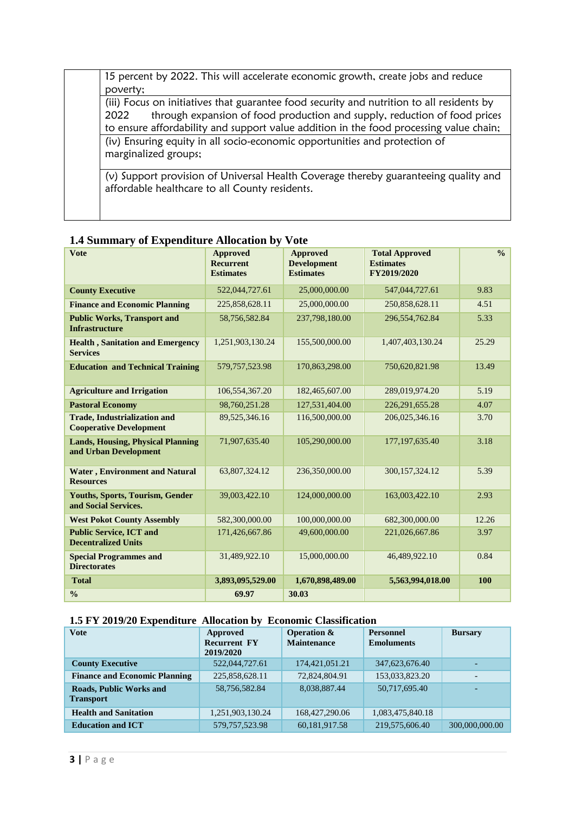15 percent by 2022. This will accelerate economic growth, create jobs and reduce poverty;

(iii) Focus on initiatives that guarantee food security and nutrition to all residents by 2022 through expansion of food production and supply, reduction of food prices to ensure affordability and support value addition in the food processing value chain; (iv) Ensuring equity in all socio-economic opportunities and protection of marginalized groups;

(v) Support provision of Universal Health Coverage thereby guaranteeing quality and affordable healthcare to all County residents.

| $\ldots$ community of Expenditure randomnom $\sigma$ ,<br><b>Vote</b> | <b>Approved</b><br><b>Recurrent</b><br><b>Estimates</b> | <b>Approved</b><br><b>Development</b><br><b>Estimates</b> | <b>Total Approved</b><br><b>Estimates</b><br>FY2019/2020 | $\frac{1}{2}$ |
|-----------------------------------------------------------------------|---------------------------------------------------------|-----------------------------------------------------------|----------------------------------------------------------|---------------|
| <b>County Executive</b>                                               | 522,044,727.61                                          | 25,000,000.00                                             | 547,044,727.61                                           | 9.83          |
| <b>Finance and Economic Planning</b>                                  | 225,858,628.11                                          | 25,000,000.00                                             | 250,858,628.11                                           | 4.51          |
| <b>Public Works, Transport and</b><br><b>Infrastructure</b>           | 58,756,582.84                                           | 237,798,180.00                                            | 296,554,762.84                                           | 5.33          |
| <b>Health, Sanitation and Emergency</b><br><b>Services</b>            | 1,251,903,130.24                                        | 155,500,000.00                                            | 1,407,403,130.24                                         | 25.29         |
| <b>Education and Technical Training</b>                               | 579, 757, 523. 98                                       | 170,863,298.00                                            | 750,620,821.98                                           | 13.49         |
| <b>Agriculture and Irrigation</b>                                     | 106,554,367.20                                          | 182,465,607.00                                            | 289,019,974.20                                           | 5.19          |
| <b>Pastoral Economy</b>                                               | 98,760,251.28                                           | 127,531,404.00                                            | 226, 291, 655. 28                                        | 4.07          |
| <b>Trade, Industrialization and</b><br><b>Cooperative Development</b> | 89,525,346.16                                           | 116,500,000.00                                            | 206,025,346.16                                           | 3.70          |
| <b>Lands, Housing, Physical Planning</b><br>and Urban Development     | 71,907,635.40                                           | 105,290,000.00                                            | 177, 197, 635. 40                                        | 3.18          |
| <b>Water, Environment and Natural</b><br><b>Resources</b>             | 63,807,324.12                                           | 236,350,000.00                                            | 300, 157, 324. 12                                        | 5.39          |
| <b>Youths, Sports, Tourism, Gender</b><br>and Social Services.        | 39,003,422.10                                           | 124,000,000.00                                            | 163,003,422.10                                           | 2.93          |
| <b>West Pokot County Assembly</b>                                     | 582,300,000.00                                          | 100,000,000.00                                            | 682,300,000.00                                           | 12.26         |
| <b>Public Service, ICT and</b><br><b>Decentralized Units</b>          | 171,426,667.86                                          | 49,600,000.00                                             | 221,026,667.86                                           | 3.97          |
| <b>Special Programmes and</b><br><b>Directorates</b>                  | 31,489,922.10                                           | 15,000,000.00                                             | 46,489,922.10                                            | 0.84          |
| <b>Total</b>                                                          | 3,893,095,529.00                                        | 1,670,898,489.00                                          | 5,563,994,018.00                                         | 100           |
| $\frac{0}{0}$                                                         | 69.97                                                   | 30.03                                                     |                                                          |               |

### **1.4 Summary of Expenditure Allocation by Vote**

#### **1.5 FY 2019/20 Expenditure Allocation by Economic Classification**

| <b>Vote</b>                                        | Approved<br><b>Recurrent FY</b><br>2019/2020 | <b>Operation &amp;</b><br><b>Maintenance</b> | <b>Personnel</b><br><b>Emoluments</b> | <b>Bursary</b> |
|----------------------------------------------------|----------------------------------------------|----------------------------------------------|---------------------------------------|----------------|
| <b>County Executive</b>                            | 522,044,727.61                               | 174,421,051.21                               | 347,623,676.40                        | -              |
| <b>Finance and Economic Planning</b>               | 225,858,628.11                               | 72,824,804.91                                | 153,033,823.20                        |                |
| <b>Roads, Public Works and</b><br><b>Transport</b> | 58,756,582.84                                | 8,038,887.44                                 | 50.717.695.40                         |                |
| <b>Health and Sanitation</b>                       | 1,251,903,130.24                             | 168, 427, 290.06                             | 1,083,475,840.18                      |                |
| <b>Education and ICT</b>                           | 579, 757, 523. 98                            | 60,181,917.58                                | 219,575,606.40                        | 300,000,000.00 |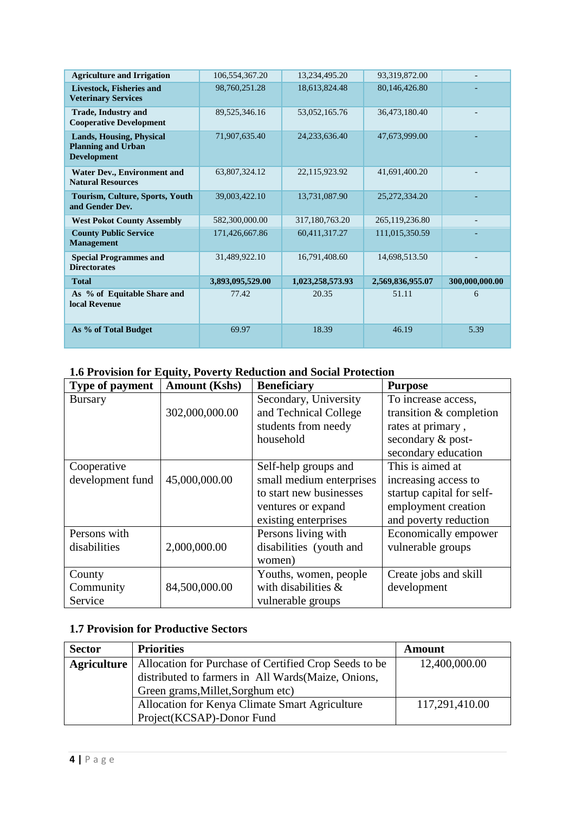| <b>Agriculture and Irrigation</b>                                                  | 106,554,367.20   | 13,234,495.20    | 93,319,872.00    |                |
|------------------------------------------------------------------------------------|------------------|------------------|------------------|----------------|
| Livestock, Fisheries and<br><b>Veterinary Services</b>                             | 98,760,251.28    | 18,613,824.48    | 80,146,426.80    |                |
| <b>Trade, Industry and</b><br><b>Cooperative Development</b>                       | 89,525,346.16    | 53,052,165.76    | 36,473,180.40    |                |
| <b>Lands, Housing, Physical</b><br><b>Planning and Urban</b><br><b>Development</b> | 71,907,635.40    | 24,233,636.40    | 47,673,999.00    |                |
| <b>Water Dev., Environment and</b><br><b>Natural Resources</b>                     | 63,807,324.12    | 22,115,923.92    | 41,691,400.20    |                |
| Tourism, Culture, Sports, Youth<br>and Gender Dev.                                 | 39,003,422.10    | 13,731,087.90    | 25, 272, 334. 20 |                |
| <b>West Pokot County Assembly</b>                                                  | 582,300,000.00   | 317,180,763.20   | 265,119,236.80   |                |
| <b>County Public Service</b><br><b>Management</b>                                  | 171,426,667.86   | 60,411,317.27    | 111,015,350.59   |                |
| <b>Special Programmes and</b><br><b>Directorates</b>                               | 31,489,922.10    | 16,791,408.60    | 14,698,513.50    |                |
| <b>Total</b>                                                                       | 3,893,095,529.00 | 1,023,258,573.93 | 2,569,836,955.07 | 300,000,000.00 |
| As % of Equitable Share and<br>local Revenue                                       | 77.42            | 20.35            | 51.11            | 6              |
| As % of Total Budget                                                               | 69.97            | 18.39            | 46.19            | 5.39           |

## **1.6 Provision for Equity, Poverty Reduction and Social Protection**

| <b>Type of payment</b> | <b>Amount (Kshs)</b> | <b>Beneficiary</b>       | <b>Purpose</b>            |
|------------------------|----------------------|--------------------------|---------------------------|
| <b>Bursary</b>         |                      | Secondary, University    | To increase access,       |
|                        | 302,000,000.00       | and Technical College    | transition $&$ completion |
|                        |                      | students from needy      | rates at primary,         |
|                        |                      | household                | secondary & post-         |
|                        |                      |                          | secondary education       |
| Cooperative            |                      | Self-help groups and     | This is aimed at          |
| development fund       | 45,000,000.00        | small medium enterprises | increasing access to      |
|                        |                      | to start new businesses  | startup capital for self- |
|                        |                      | ventures or expand       | employment creation       |
|                        |                      | existing enterprises     | and poverty reduction     |
| Persons with           |                      | Persons living with      | Economically empower      |
| disabilities           | 2,000,000.00         | disabilities (youth and  | vulnerable groups         |
|                        |                      | women)                   |                           |
| County                 |                      | Youths, women, people    | Create jobs and skill     |
| Community              | 84,500,000.00        | with disabilities $\&$   | development               |
| Service                |                      | vulnerable groups        |                           |

## **1.7 Provision for Productive Sectors**

| <b>Sector</b> | <b>Priorities</b>                                     | Amount         |
|---------------|-------------------------------------------------------|----------------|
| Agriculture   | Allocation for Purchase of Certified Crop Seeds to be | 12,400,000.00  |
|               | distributed to farmers in All Wards (Maize, Onions,   |                |
|               | Green grams, Millet, Sorghum etc)                     |                |
|               | Allocation for Kenya Climate Smart Agriculture        | 117,291,410.00 |
|               | Project(KCSAP)-Donor Fund                             |                |